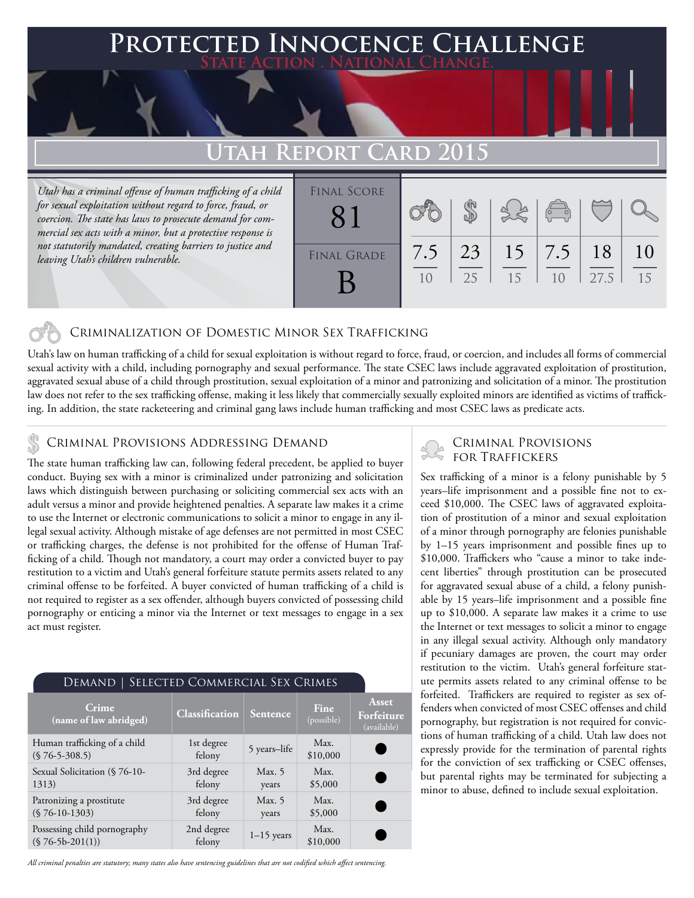### **PTED INNOCENCE CHALLENGE State Action . National Change.**

## **Utah Report Card 2015**

*Utah has a criminal offense of human trafficking of a child for sexual exploitation without regard to force, fraud, or coercion. The state has laws to prosecute demand for commercial sex acts with a minor, but a protective response is not statutorily mandated, creating barriers to justice and leaving Utah's children vulnerable.* 

| <b>FINAL SCORE</b> |     |    |    | $\begin{pmatrix} 0 & 0 \\ 0 & 0 \end{pmatrix}$ |      |    |
|--------------------|-----|----|----|------------------------------------------------|------|----|
| <b>FINAL GRADE</b> | 7.5 | 23 | 15 | 7.5                                            | 18   | 10 |
|                    | 10  | 25 | 15 | 1 <sub>0</sub>                                 | 27.5 | 15 |

### Criminalization of Domestic Minor Sex Trafficking

Utah's law on human trafficking of a child for sexual exploitation is without regard to force, fraud, or coercion, and includes all forms of commercial sexual activity with a child, including pornography and sexual performance. The state CSEC laws include aggravated exploitation of prostitution, aggravated sexual abuse of a child through prostitution, sexual exploitation of a minor and patronizing and solicitation of a minor. The prostitution law does not refer to the sex trafficking offense, making it less likely that commercially sexually exploited minors are identified as victims of trafficking. In addition, the state racketeering and criminal gang laws include human trafficking and most CSEC laws as predicate acts.

### Criminal Provisions Addressing Demand

The state human trafficking law can, following federal precedent, be applied to buyer conduct. Buying sex with a minor is criminalized under patronizing and solicitation laws which distinguish between purchasing or soliciting commercial sex acts with an adult versus a minor and provide heightened penalties. A separate law makes it a crime to use the Internet or electronic communications to solicit a minor to engage in any illegal sexual activity. Although mistake of age defenses are not permitted in most CSEC or trafficking charges, the defense is not prohibited for the offense of Human Trafficking of a child. Though not mandatory, a court may order a convicted buyer to pay restitution to a victim and Utah's general forfeiture statute permits assets related to any criminal offense to be forfeited. A buyer convicted of human trafficking of a child is not required to register as a sex offender, although buyers convicted of possessing child pornography or enticing a minor via the Internet or text messages to engage in a sex act must register.

| <b>DEMAND   SELECTED COMMERCIAL SEX CRIMES</b>     |                       |                   |                           |                                    |  |  |  |  |
|----------------------------------------------------|-----------------------|-------------------|---------------------------|------------------------------------|--|--|--|--|
| Crime<br>(name of law abridged)                    | <b>Classification</b> | Sentence          | <b>Fine</b><br>(possible) | Asset<br>Forfeiture<br>(available) |  |  |  |  |
| Human trafficking of a child<br>$(S 76-5-308.5)$   | 1st degree<br>felony  | 5 years-life      | Max.<br>\$10,000          |                                    |  |  |  |  |
| Sexual Solicitation (§ 76-10-<br>1313)             | 3rd degree<br>felony  | Max. $5$<br>years | Max.<br>\$5,000           | ٠                                  |  |  |  |  |
| Patronizing a prostitute<br>$(S 76-10-1303)$       | 3rd degree<br>felony  | Max. $5$<br>years | Max.<br>\$5,000           | r.                                 |  |  |  |  |
| Possessing child pornography<br>$(S 76-5b-201(1))$ | 2nd degree<br>felony  | $1-15$ years      | Max.<br>\$10,000          |                                    |  |  |  |  |

# Criminal Provisions

Sex trafficking of a minor is a felony punishable by 5 years–life imprisonment and a possible fine not to exceed \$10,000. The CSEC laws of aggravated exploitation of prostitution of a minor and sexual exploitation of a minor through pornography are felonies punishable by 1–15 years imprisonment and possible fines up to \$10,000. Traffickers who "cause a minor to take indecent liberties" through prostitution can be prosecuted for aggravated sexual abuse of a child, a felony punishable by 15 years–life imprisonment and a possible fine up to \$10,000. A separate law makes it a crime to use the Internet or text messages to solicit a minor to engage in any illegal sexual activity. Although only mandatory if pecuniary damages are proven, the court may order restitution to the victim. Utah's general forfeiture statute permits assets related to any criminal offense to be forfeited. Traffickers are required to register as sex offenders when convicted of most CSEC offenses and child pornography, but registration is not required for convictions of human trafficking of a child. Utah law does not expressly provide for the termination of parental rights for the conviction of sex trafficking or CSEC offenses, but parental rights may be terminated for subjecting a minor to abuse, defined to include sexual exploitation.

*All criminal penalties are statutory; many states also have sentencing guidelines that are not codified which affect sentencing.*